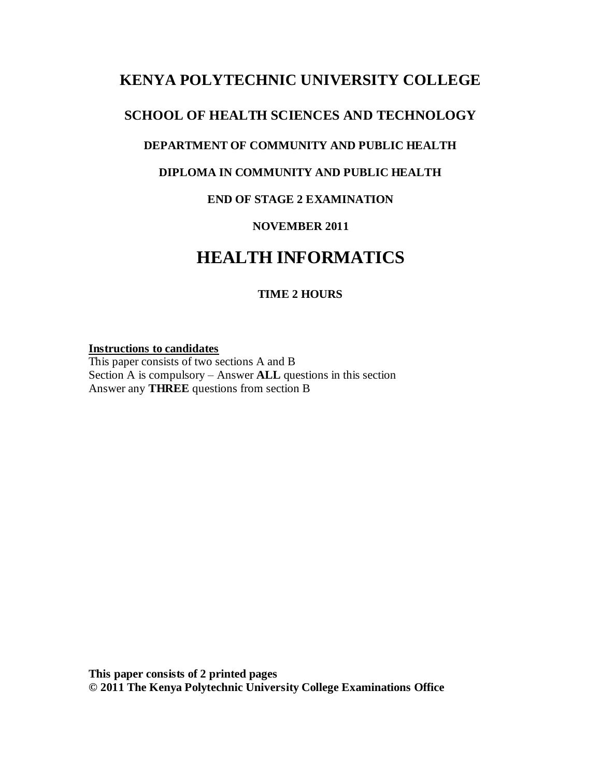# **KENYA POLYTECHNIC UNIVERSITY COLLEGE**

### **SCHOOL OF HEALTH SCIENCES AND TECHNOLOGY**

### **DEPARTMENT OF COMMUNITY AND PUBLIC HEALTH**

### **DIPLOMA IN COMMUNITY AND PUBLIC HEALTH**

### **END OF STAGE 2 EXAMINATION**

### **NOVEMBER 2011**

# **HEALTH INFORMATICS**

### **TIME 2 HOURS**

#### **Instructions to candidates**

This paper consists of two sections A and B Section A is compulsory – Answer **ALL** questions in this section Answer any **THREE** questions from section B